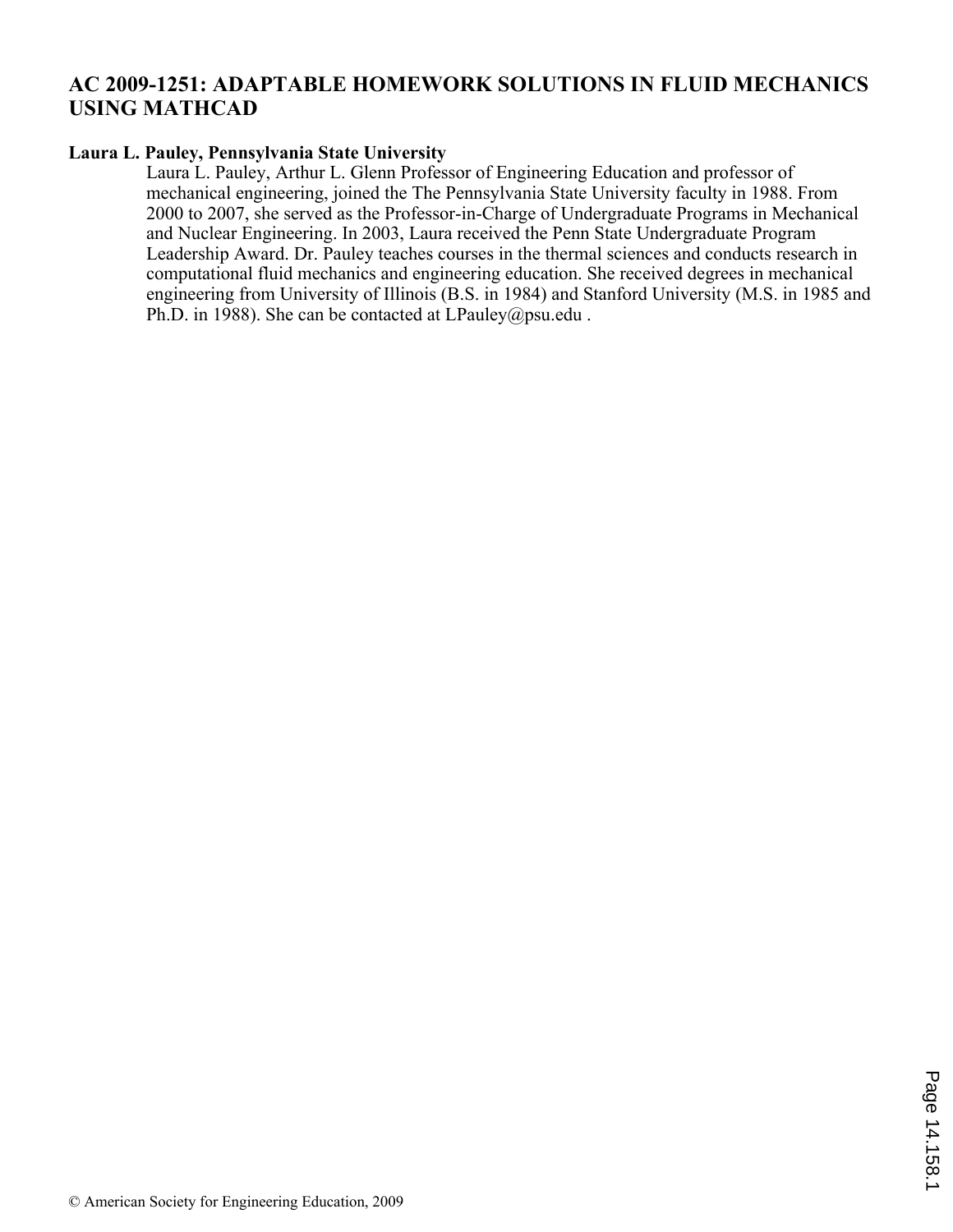# **AC 2009-1251: ADAPTABLE HOMEWORK SOLUTIONS IN FLUID MECHANICS USING MATHCAD**

## **Laura L. Pauley, Pennsylvania State University**

Laura L. Pauley, Arthur L. Glenn Professor of Engineering Education and professor of mechanical engineering, joined the The Pennsylvania State University faculty in 1988. From 2000 to 2007, she served as the Professor-in-Charge of Undergraduate Programs in Mechanical and Nuclear Engineering. In 2003, Laura received the Penn State Undergraduate Program Leadership Award. Dr. Pauley teaches courses in the thermal sciences and conducts research in computational fluid mechanics and engineering education. She received degrees in mechanical engineering from University of Illinois (B.S. in 1984) and Stanford University (M.S. in 1985 and Ph.D. in 1988). She can be contacted at LPauley@psu.edu.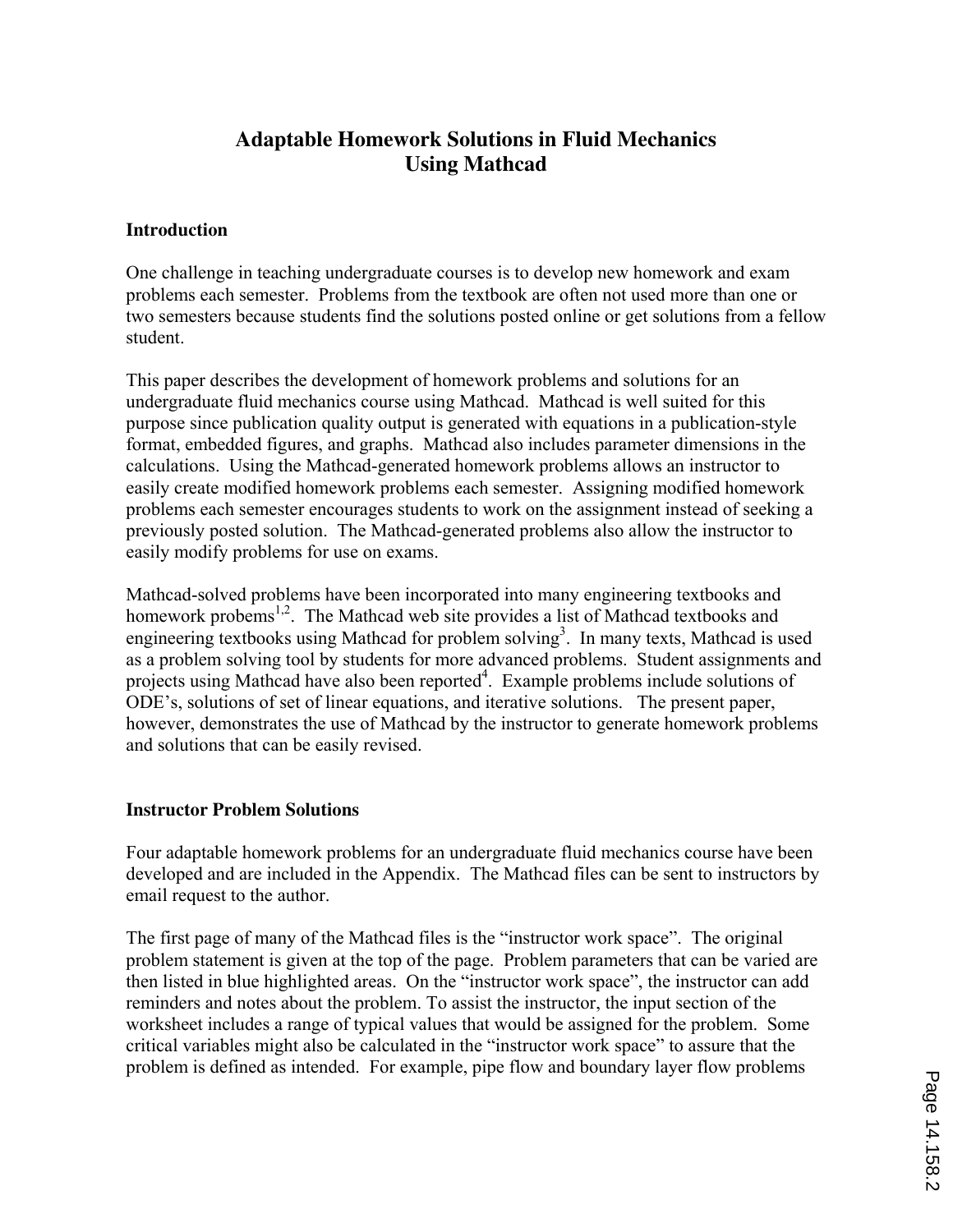# **Adaptable Homework Solutions in Fluid Mechanics Using Mathcad**

## **Introduction**

One challenge in teaching undergraduate courses is to develop new homework and exam problems each semester. Problems from the textbook are often not used more than one or two semesters because students find the solutions posted online or get solutions from a fellow student.

This paper describes the development of homework problems and solutions for an undergraduate fluid mechanics course using Mathcad. Mathcad is well suited for this purpose since publication quality output is generated with equations in a publication-style format, embedded figures, and graphs. Mathcad also includes parameter dimensions in the calculations. Using the Mathcad-generated homework problems allows an instructor to easily create modified homework problems each semester. Assigning modified homework problems each semester encourages students to work on the assignment instead of seeking a previously posted solution. The Mathcad-generated problems also allow the instructor to easily modify problems for use on exams.

Mathcad-solved problems have been incorporated into many engineering textbooks and homework probems<sup>1,2</sup>. The Mathcad web site provides a list of Mathcad textbooks and engineering textbooks using Mathcad for problem solving<sup>3</sup>. In many texts, Mathcad is used as a problem solving tool by students for more advanced problems. Student assignments and projects using Mathcad have also been reported<sup>4</sup>. Example problems include solutions of ODE's, solutions of set of linear equations, and iterative solutions. The present paper, however, demonstrates the use of Mathcad by the instructor to generate homework problems and solutions that can be easily revised.

# **Instructor Problem Solutions**

Four adaptable homework problems for an undergraduate fluid mechanics course have been developed and are included in the Appendix. The Mathcad files can be sent to instructors by email request to the author.

The first page of many of the Mathcad files is the "instructor work space". The original problem statement is given at the top of the page. Problem parameters that can be varied are then listed in blue highlighted areas. On the "instructor work space", the instructor can add reminders and notes about the problem. To assist the instructor, the input section of the worksheet includes a range of typical values that would be assigned for the problem. Some critical variables might also be calculated in the "instructor work space" to assure that the problem is defined as intended. For example, pipe flow and boundary layer flow problems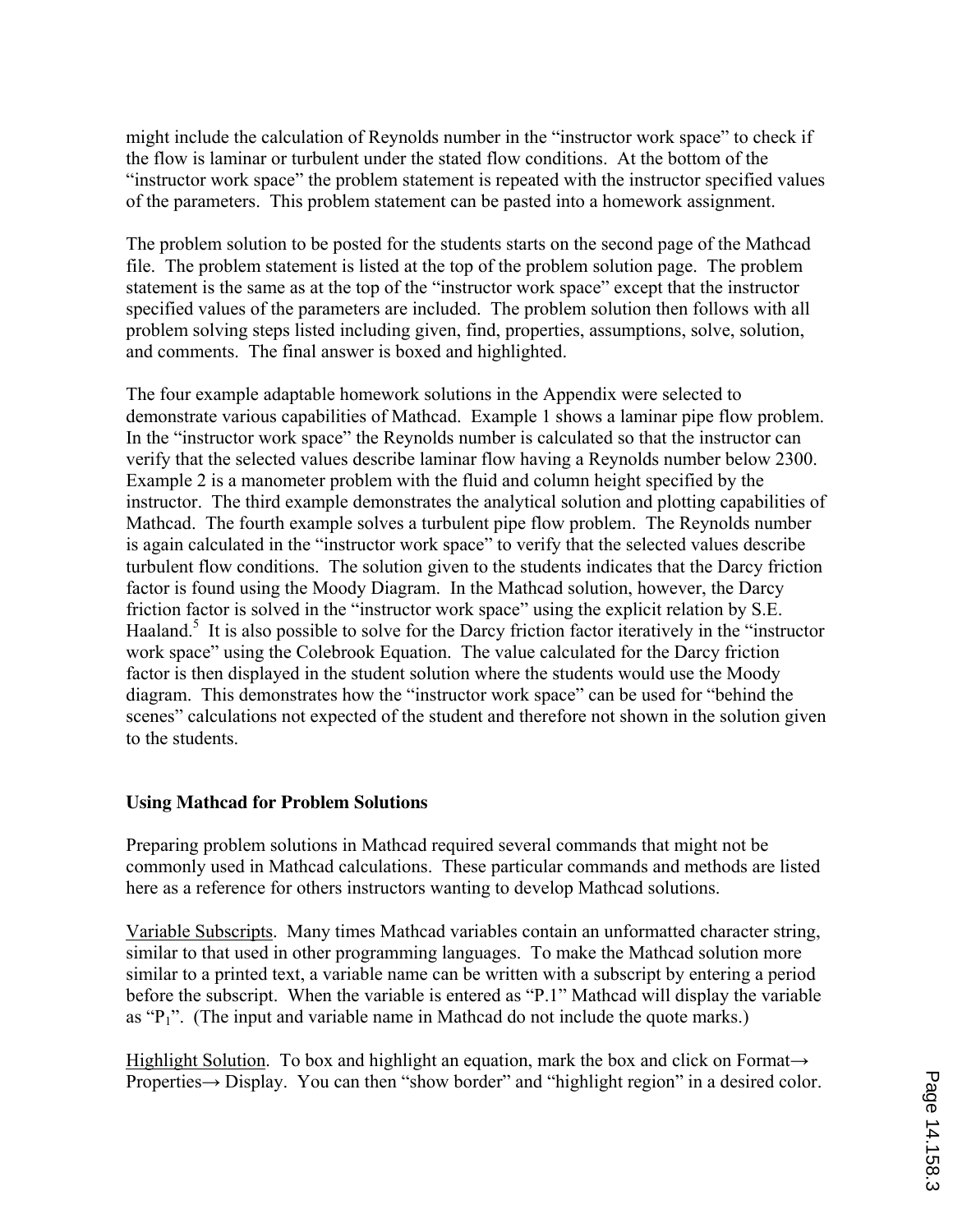might include the calculation of Reynolds number in the "instructor work space" to check if the flow is laminar or turbulent under the stated flow conditions. At the bottom of the "instructor work space" the problem statement is repeated with the instructor specified values of the parameters. This problem statement can be pasted into a homework assignment.

The problem solution to be posted for the students starts on the second page of the Mathcad file. The problem statement is listed at the top of the problem solution page. The problem statement is the same as at the top of the "instructor work space" except that the instructor specified values of the parameters are included. The problem solution then follows with all problem solving steps listed including given, find, properties, assumptions, solve, solution, and comments. The final answer is boxed and highlighted.

The four example adaptable homework solutions in the Appendix were selected to demonstrate various capabilities of Mathcad. Example 1 shows a laminar pipe flow problem. In the "instructor work space" the Reynolds number is calculated so that the instructor can verify that the selected values describe laminar flow having a Reynolds number below 2300. Example 2 is a manometer problem with the fluid and column height specified by the instructor. The third example demonstrates the analytical solution and plotting capabilities of Mathcad. The fourth example solves a turbulent pipe flow problem. The Reynolds number is again calculated in the "instructor work space" to verify that the selected values describe turbulent flow conditions. The solution given to the students indicates that the Darcy friction factor is found using the Moody Diagram. In the Mathcad solution, however, the Darcy friction factor is solved in the "instructor work space" using the explicit relation by S.E. Haaland.<sup>5</sup> It is also possible to solve for the Darcy friction factor iteratively in the "instructor" work space" using the Colebrook Equation. The value calculated for the Darcy friction factor is then displayed in the student solution where the students would use the Moody diagram. This demonstrates how the "instructor work space" can be used for "behind the scenes" calculations not expected of the student and therefore not shown in the solution given to the students.

# **Using Mathcad for Problem Solutions**

Preparing problem solutions in Mathcad required several commands that might not be commonly used in Mathcad calculations. These particular commands and methods are listed here as a reference for others instructors wanting to develop Mathcad solutions.

Variable Subscripts. Many times Mathcad variables contain an unformatted character string, similar to that used in other programming languages. To make the Mathcad solution more similar to a printed text, a variable name can be written with a subscript by entering a period before the subscript. When the variable is entered as "P.1" Mathcad will display the variable as " $P_1$ ". (The input and variable name in Mathcad do not include the quote marks.)

Highlight Solution. To box and highlight an equation, mark the box and click on Format $\rightarrow$ Properties $\rightarrow$  Display. You can then "show border" and "highlight region" in a desired color.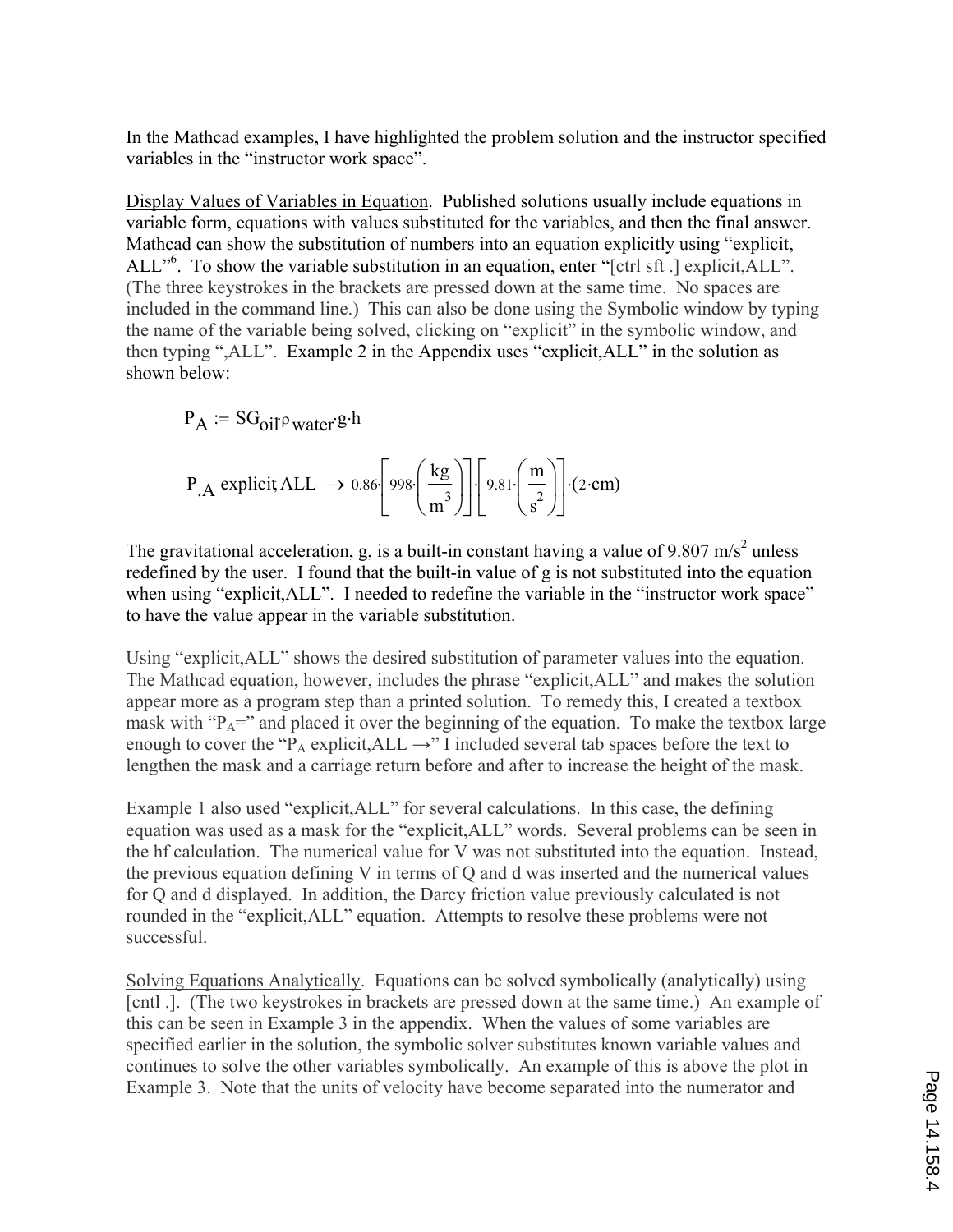In the Mathcad examples, I have highlighted the problem solution and the instructor specified variables in the "instructor work space".

Display Values of Variables in Equation. Published solutions usually include equations in variable form, equations with values substituted for the variables, and then the final answer. Mathcad can show the substitution of numbers into an equation explicitly using "explicit, ALL<sup>"6</sup>. To show the variable substitution in an equation, enter "[ctrl sft .] explicit, ALL". (The three keystrokes in the brackets are pressed down at the same time. No spaces are included in the command line.) This can also be done using the Symbolic window by typing the name of the variable being solved, clicking on "explicit" in the symbolic window, and then typing ",ALL". Example 2 in the Appendix uses "explicit,ALL" in the solution as shown below:

$$
P_A := SG_{oil}\rho_{water}g \cdot h
$$
  
P<sub>.A</sub> explicit ALL  $\rightarrow 0.86 \left[ 998 \cdot \left( \frac{kg}{m^3} \right) \right] \left[ 9.81 \cdot \left( \frac{m}{s^2} \right) \right] \cdot (2 \cdot cm)$ 

The gravitational acceleration, g, is a built-in constant having a value of 9.807 m/s<sup>2</sup> unless redefined by the user. I found that the built-in value of g is not substituted into the equation when using "explicit, ALL". I needed to redefine the variable in the "instructor work space" to have the value appear in the variable substitution.

Using "explicit,ALL" shows the desired substitution of parameter values into the equation. The Mathcad equation, however, includes the phrase "explicit,ALL" and makes the solution appear more as a program step than a printed solution. To remedy this, I created a textbox mask with " $P_A$ =" and placed it over the beginning of the equation. To make the textbox large enough to cover the "P<sub>A</sub> explicit, ALL  $\rightarrow$ " I included several tab spaces before the text to lengthen the mask and a carriage return before and after to increase the height of the mask.

Example 1 also used "explicit,ALL" for several calculations. In this case, the defining equation was used as a mask for the "explicit,ALL" words. Several problems can be seen in the hf calculation. The numerical value for V was not substituted into the equation. Instead, the previous equation defining V in terms of Q and d was inserted and the numerical values for Q and d displayed. In addition, the Darcy friction value previously calculated is not rounded in the "explicit,ALL" equation. Attempts to resolve these problems were not successful.

Solving Equations Analytically. Equations can be solved symbolically (analytically) using [cntl .]. (The two keystrokes in brackets are pressed down at the same time.) An example of this can be seen in Example 3 in the appendix. When the values of some variables are specified earlier in the solution, the symbolic solver substitutes known variable values and continues to solve the other variables symbolically. An example of this is above the plot in Example 3. Note that the units of velocity have become separated into the numerator and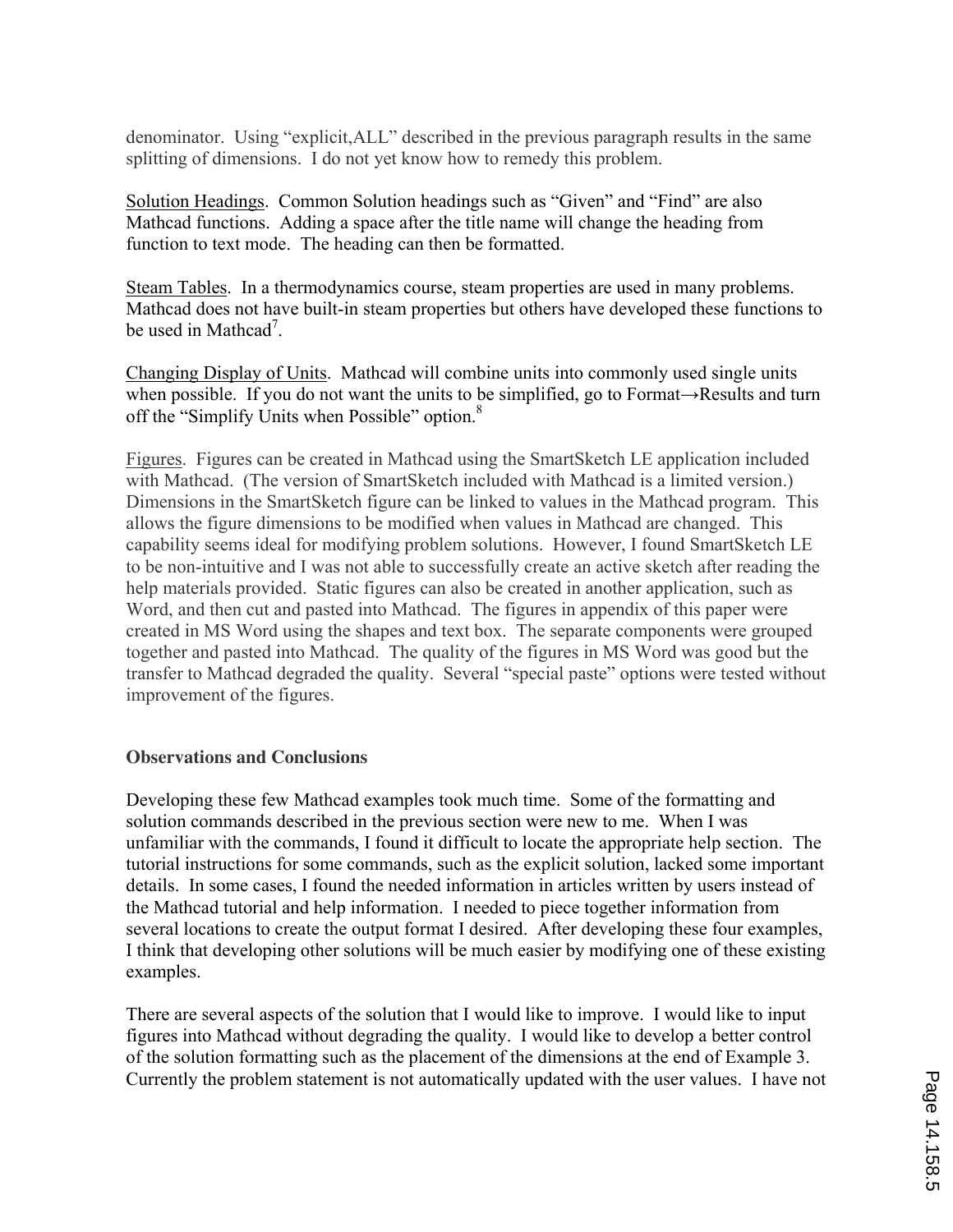denominator. Using "explicit,ALL" described in the previous paragraph results in the same splitting of dimensions. I do not yet know how to remedy this problem.

Solution Headings. Common Solution headings such as "Given" and "Find" are also Mathcad functions. Adding a space after the title name will change the heading from function to text mode. The heading can then be formatted.

Steam Tables. In a thermodynamics course, steam properties are used in many problems. Mathcad does not have built-in steam properties but others have developed these functions to be used in Mathcad<sup>7</sup>.

Changing Display of Units. Mathcad will combine units into commonly used single units when possible. If you do not want the units to be simplified, go to Format $\rightarrow$ Results and turn off the "Simplify Units when Possible" option.<sup>8</sup>

Figures. Figures can be created in Mathcad using the SmartSketch LE application included with Mathcad. (The version of SmartSketch included with Mathcad is a limited version.) Dimensions in the SmartSketch figure can be linked to values in the Mathcad program. This allows the figure dimensions to be modified when values in Mathcad are changed. This capability seems ideal for modifying problem solutions. However, I found SmartSketch LE to be non-intuitive and I was not able to successfully create an active sketch after reading the help materials provided. Static figures can also be created in another application, such as Word, and then cut and pasted into Mathcad. The figures in appendix of this paper were created in MS Word using the shapes and text box. The separate components were grouped together and pasted into Mathcad. The quality of the figures in MS Word was good but the transfer to Mathcad degraded the quality. Several "special paste" options were tested without improvement of the figures.

### **Observations and Conclusions**

Developing these few Mathcad examples took much time. Some of the formatting and solution commands described in the previous section were new to me. When I was unfamiliar with the commands, I found it difficult to locate the appropriate help section. The tutorial instructions for some commands, such as the explicit solution, lacked some important details. In some cases, I found the needed information in articles written by users instead of the Mathcad tutorial and help information. I needed to piece together information from several locations to create the output format I desired. After developing these four examples, I think that developing other solutions will be much easier by modifying one of these existing examples.

There are several aspects of the solution that I would like to improve. I would like to input figures into Mathcad without degrading the quality. I would like to develop a better control of the solution formatting such as the placement of the dimensions at the end of Example 3. Currently the problem statement is not automatically updated with the user values. I have not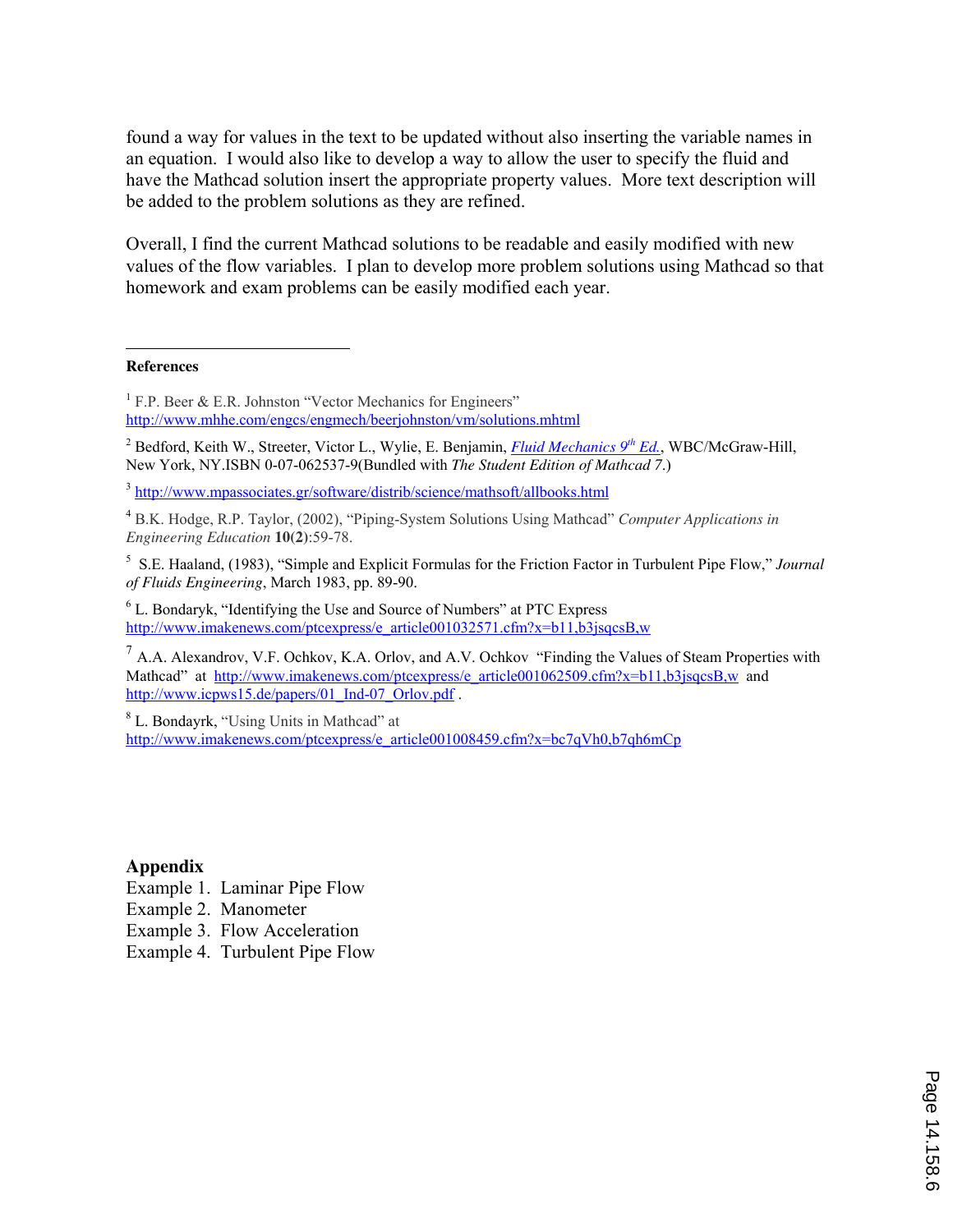found a way for values in the text to be updated without also inserting the variable names in an equation. I would also like to develop a way to allow the user to specify the fluid and have the Mathcad solution insert the appropriate property values. More text description will be added to the problem solutions as they are refined.

Overall, I find the current Mathcad solutions to be readable and easily modified with new values of the flow variables. I plan to develop more problem solutions using Mathcad so that homework and exam problems can be easily modified each year.

#### **References**

 $\overline{a}$ 

2 Bedford, Keith W., Streeter, Victor L., Wylie, E. Benjamin, *Fluid Mechanics 9th Ed.*, WBC/McGraw-Hill, New York, NY.ISBN 0-07-062537-9(Bundled with *The Student Edition of Mathcad 7*.)

<sup>4</sup> B.K. Hodge, R.P. Taylor, (2002), "Piping-System Solutions Using Mathcad" *Computer Applications in Engineering Education* **10(2)**:59-78.

5 S.E. Haaland, (1983), "Simple and Explicit Formulas for the Friction Factor in Turbulent Pipe Flow," *Journal of Fluids Engineering*, March 1983, pp. 89-90.

<sup>6</sup> L. Bondaryk, "Identifying the Use and Source of Numbers" at PTC Express http://www.imakenews.com/ptcexpress/e\_article001032571.cfm?x=b11,b3jsqcsB,w

 $^7$  A.A. Alexandrov, V.F. Ochkov, K.A. Orlov, and A.V. Ochkov "Finding the Values of Steam Properties with Mathcad" at http://www.imakenews.com/ptcexpress/e\_article001062509.cfm?x=b11,b3jsqcsB,w and http://www.icpws15.de/papers/01\_Ind-07\_Orlov.pdf .

<sup>8</sup> L. Bondayrk, "Using Units in Mathcad" at http://www.imakenews.com/ptcexpress/e\_article001008459.cfm?x=bc7qVh0,b7qh6mCp

### **Appendix**

Example 1. Laminar Pipe Flow

- Example 2. Manometer
- Example 3. Flow Acceleration
- Example 4. Turbulent Pipe Flow

<sup>&</sup>lt;sup>1</sup> F.P. Beer & E.R. Johnston "Vector Mechanics for Engineers" http://www.mhhe.com/engcs/engmech/beerjohnston/vm/solutions.mhtml

<sup>&</sup>lt;sup>3</sup> http://www.mpassociates.gr/software/distrib/science/mathsoft/allbooks.html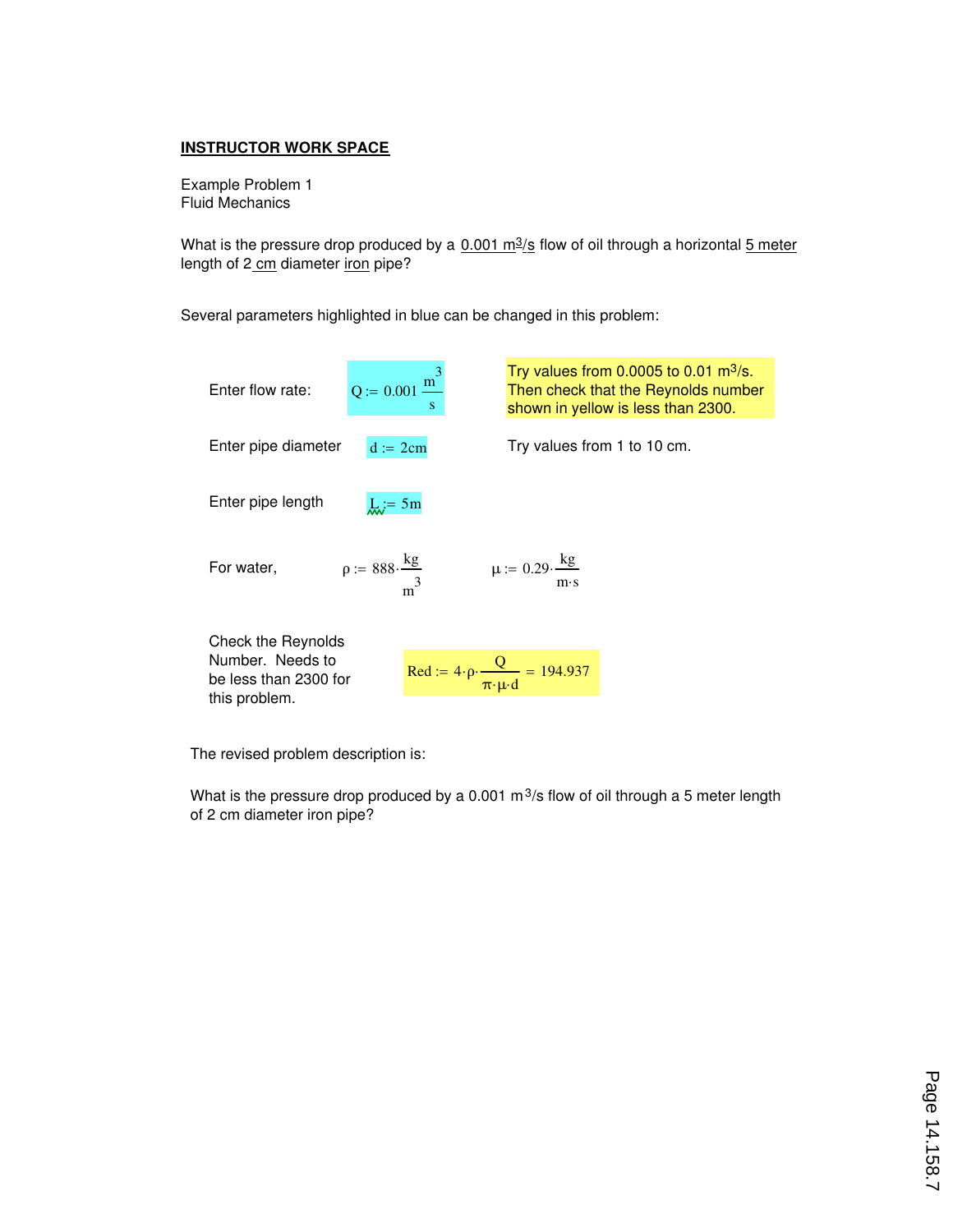#### **INSTRUCTOR WORK SPACE**

Example Problem 1 Fluid Mechanics

What is the pressure drop produced by a  $0.001 \text{ m}^3/\text{s}$  flow of oil through a horizontal  $5 \text{ meter}$ length of 2 cm diameter iron pipe?

Several parameters highlighted in blue can be changed in this problem:



The revised problem description is:

What is the pressure drop produced by a 0.001  $\text{m}^3\text{/s}$  flow of oil through a 5 meter length of 2 cm diameter iron pipe?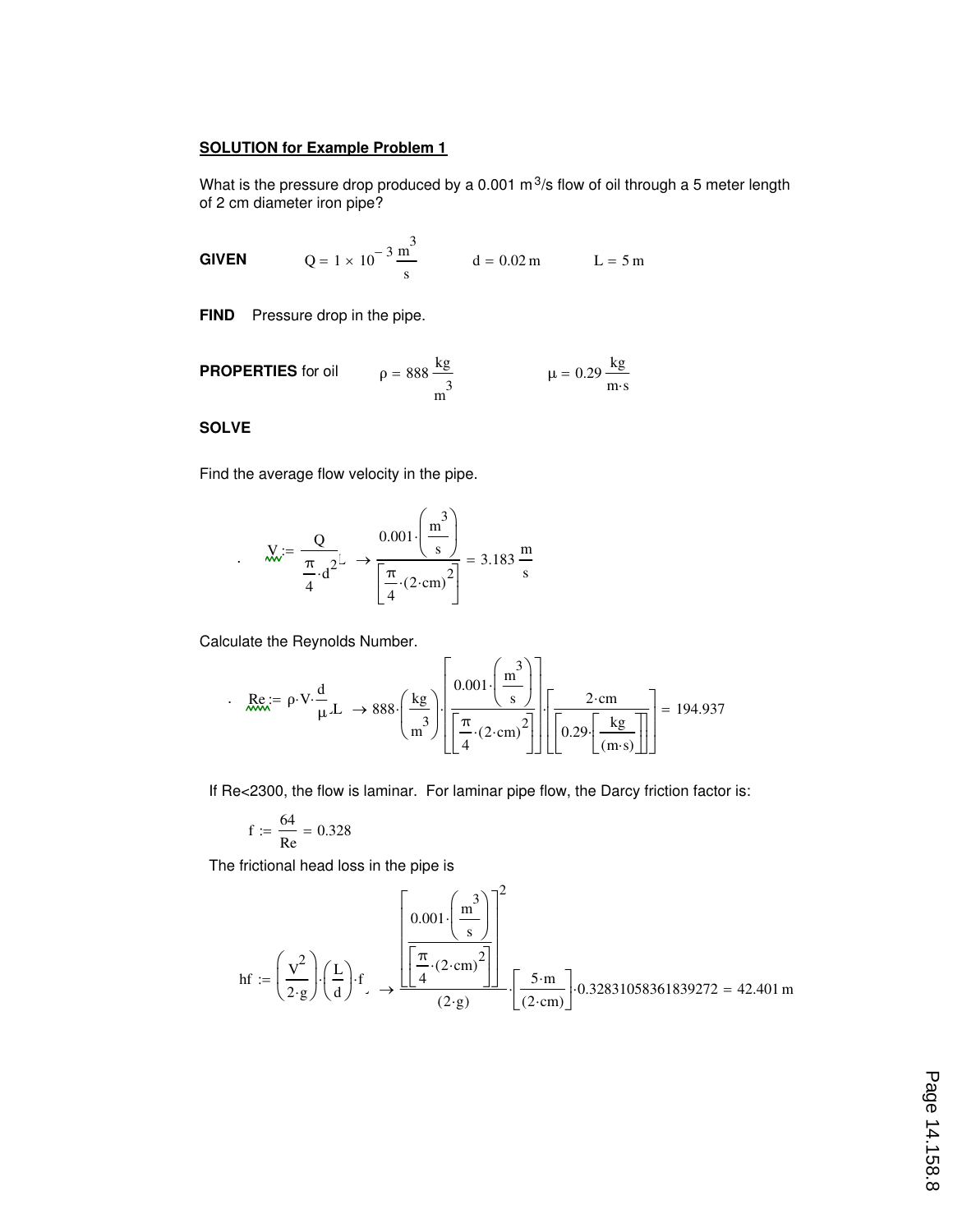#### **SOLUTION for Example Problem 1**

What is the pressure drop produced by a 0.001  $\text{m}^3\text{/s}$  flow of oil through a 5 meter length of 2 cm diameter iron pipe?

**GIVEN**  $Q = 1 \times 10^{-3} \frac{m^3}{2}$ s  $= 1 \times 10^{-5}$  m  $d = 0.02$  m  $L = 5$  m

**FIND** Pressure drop in the pipe.

**PROPERTIES** for oil 
$$
\rho = 888 \frac{\text{kg}}{\text{m}^3}
$$
  $\mu = 0.29 \frac{\text{kg}}{\text{m} \cdot \text{s}}$ 

#### **SOLVE**

.

Find the average flow velocity in the pipe.

$$
M = \frac{Q}{\frac{\pi}{4} \cdot d^2} \rightarrow \frac{0.001 \cdot \left(\frac{m^3}{s}\right)}{\left[\frac{\pi}{4} \cdot (2 \cdot cm)^2\right]} = 3.183 \frac{m}{s}
$$

Calculate the Reynolds Number.

$$
\therefore \text{ Re}: = \rho \cdot V \cdot \frac{d}{\mu} L \implies 888 \cdot \left(\frac{kg}{m^3}\right) \cdot \left[\frac{0.001 \cdot \left(\frac{m^3}{s}\right)}{\left[\frac{\pi}{4} \cdot (2 \cdot cm)^2\right]} \right] \cdot \left[\frac{2 \cdot cm}{\left[0.29 \cdot \left[\frac{kg}{(m \cdot s)}\right]\right]} \right] = 194.937
$$

If Re<2300, the flow is laminar. For laminar pipe flow, the Darcy friction factor is:

$$
f := \frac{64}{Re} = 0.328
$$

The frictional head loss in the pipe is

$$
hf := \left(\frac{V^2}{2 \cdot g}\right) \cdot \left(\frac{L}{d}\right) \cdot f \longrightarrow \frac{\left[\frac{\pi}{4} \cdot (2 \cdot cm)^2\right]}{(2 \cdot g)} \cdot \left[\frac{5 \cdot m}{(2 \cdot cm)}\right] \cdot 0.32831058361839272 = 42.401 \text{ m}
$$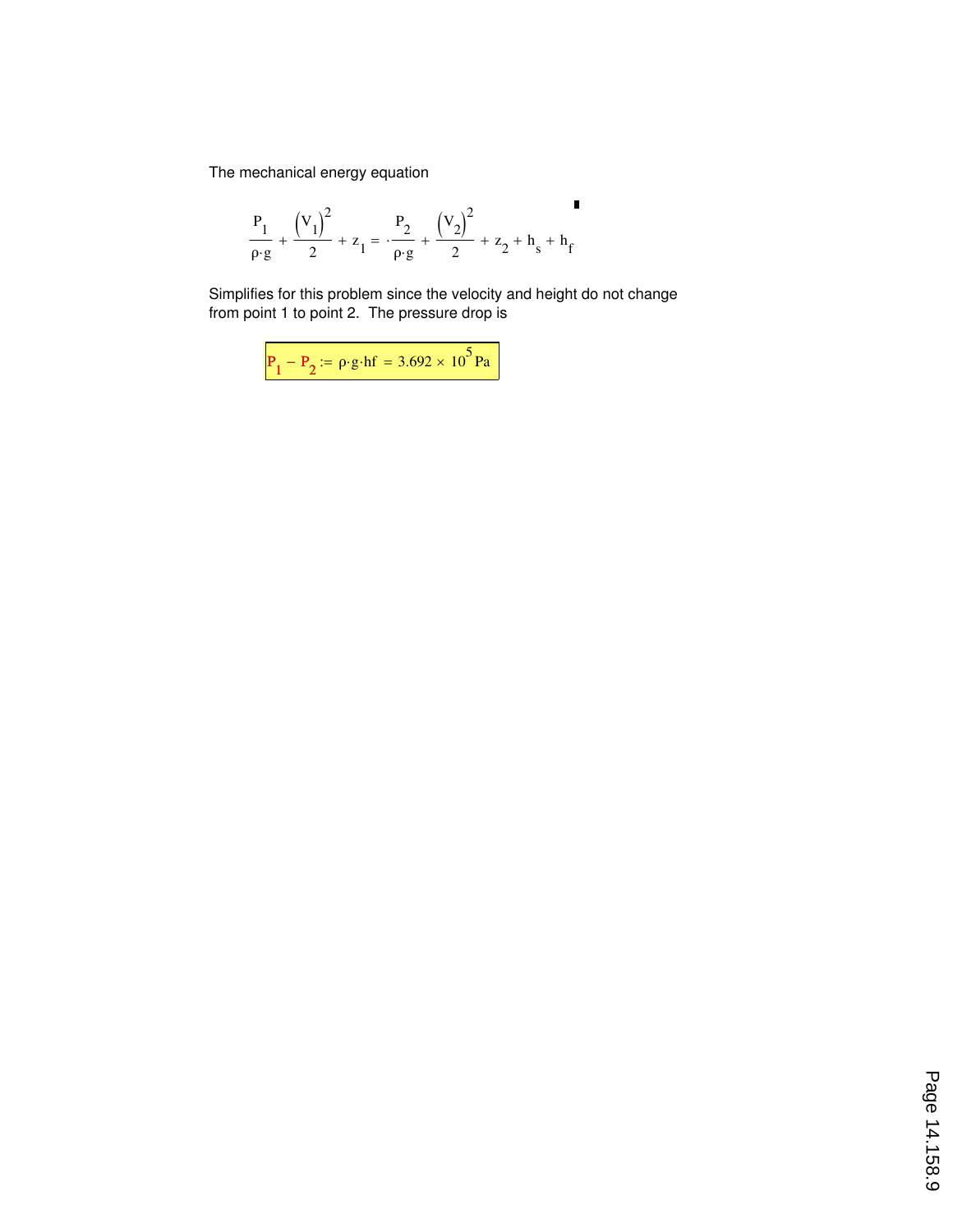The mechanical energy equation

$$
\frac{P_1}{\rho \cdot g} + \frac{(V_1)^2}{2} + z_1 = \frac{P_2}{\rho \cdot g} + \frac{(V_2)^2}{2} + z_2 + h_s + h_f
$$

Simplifies for this problem since the velocity and height do not change from point 1 to point 2. The pressure drop is

 $P_1 - P_2 = \rho \cdot g \cdot hf = 3.692 \times 10^5 Pa$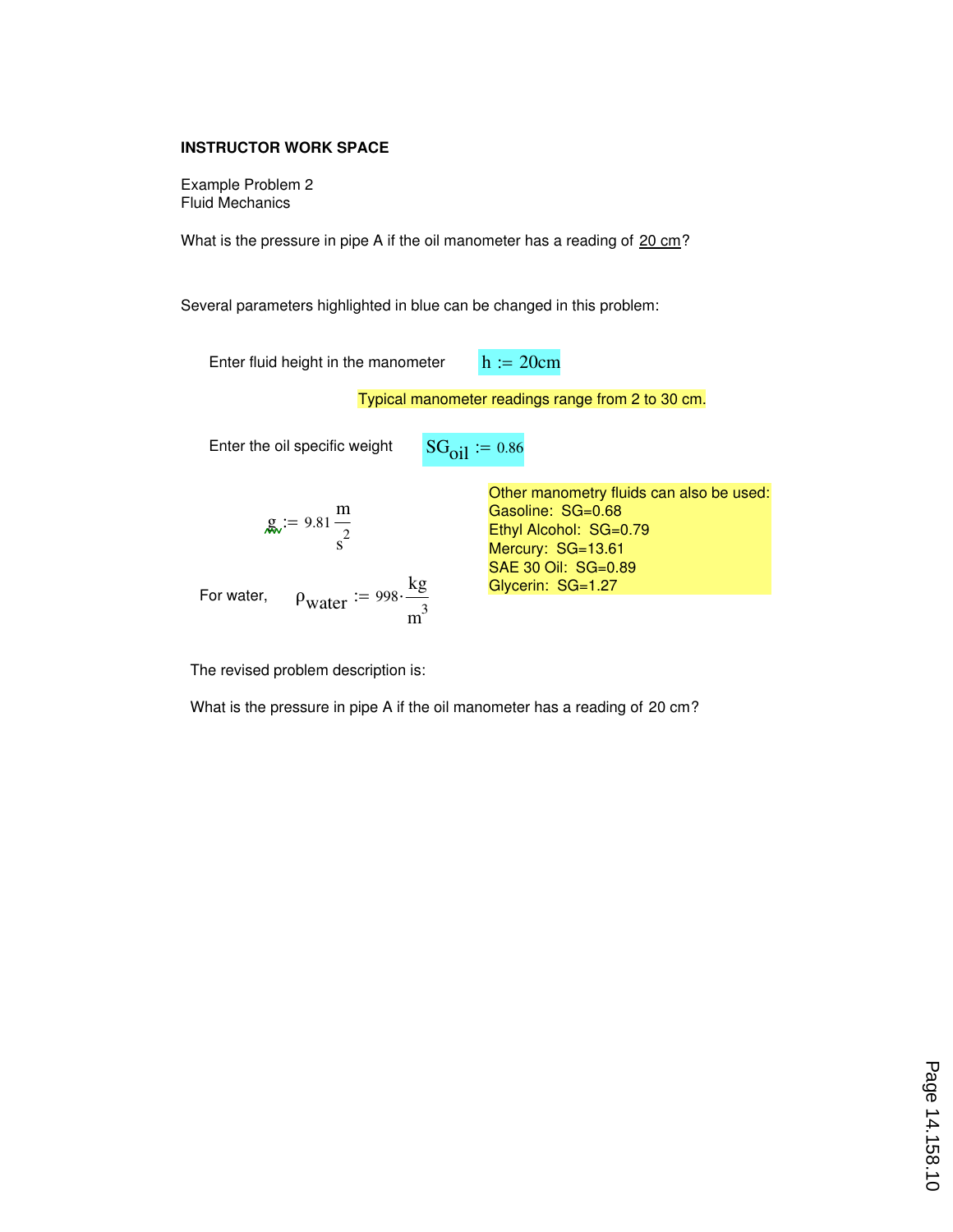#### **INSTRUCTOR WORK SPACE**

Example Problem 2 Fluid Mechanics

What is the pressure in pipe A if the oil manometer has a reading of 20 cm?

Several parameters highlighted in blue can be changed in this problem:

Enter fluid height in the manometer  $h := 20cm$ 

Typical manometer readings range from 2 to 30 cm.

Enter the oil specific weight  $SG<sub>oil</sub> := 0.86$ 

$$
g_v := 9.81 \frac{m}{s^2}
$$

For water,  $\rho_{\text{water}} \coloneqq 998$ kg  $:= 998 \cdot \frac{12}{\text{m}^3}$  Other manometry fluids can also be used: Gasoline: SG=0.68 Ethyl Alcohol: SG=0.79 Mercury: SG=13.61 SAE 30 Oil: SG=0.89 Glycerin: SG=1.27

The revised problem description is:

What is the pressure in pipe A if the oil manometer has a reading of 20 cm?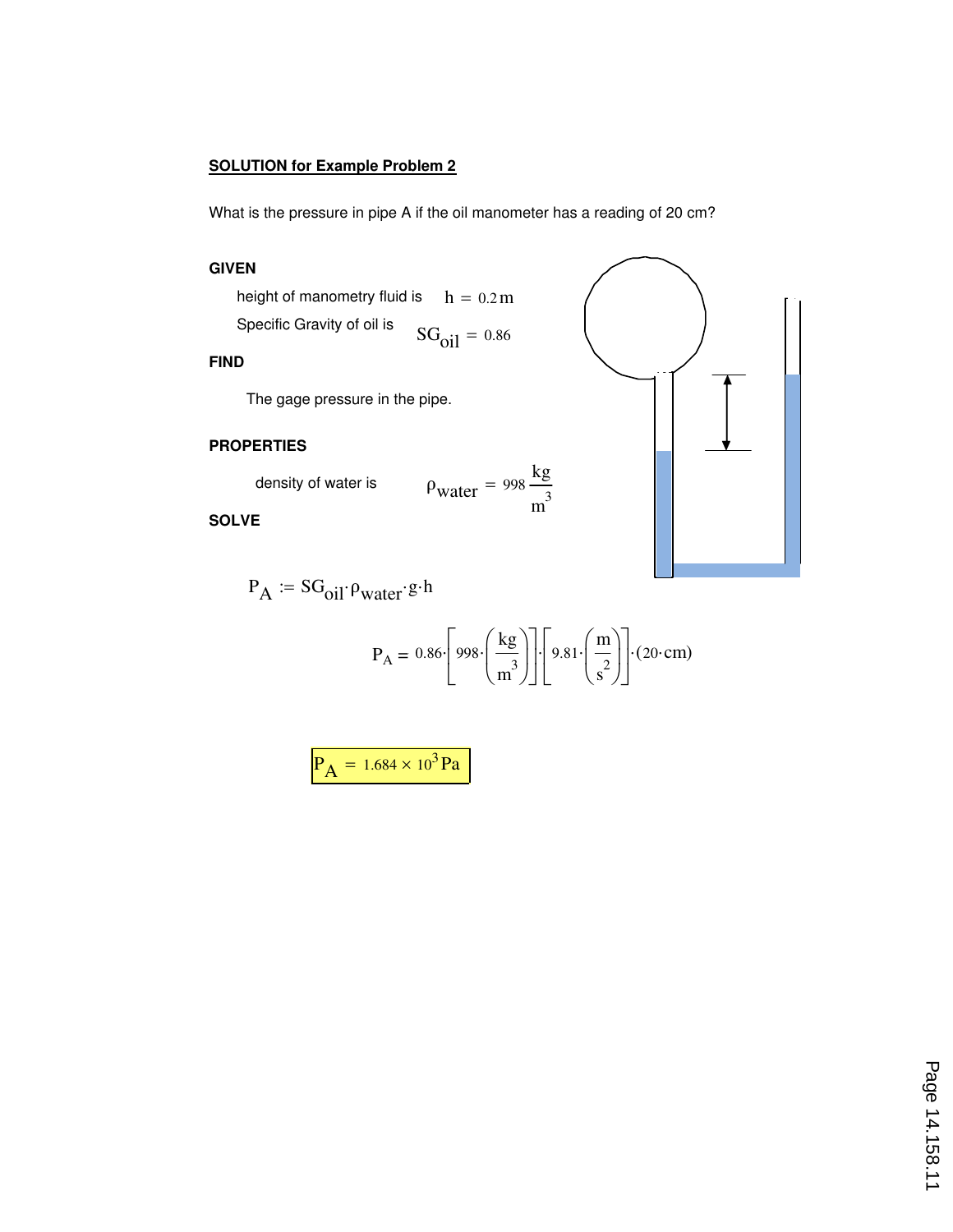# **SOLUTION for Example Problem 2**

What is the pressure in pipe A if the oil manometer has a reading of 20 cm?

### **GIVEN**

height of manometry fluid is  $h = 0.2 m$ Specific Gravity of oil is  $SG_{oil} = 0.86$ 

#### **FIND**

The gage pressure in the pipe.

#### **PROPERTIES**

density of water is  $\rho_\text{water}$  = 998

**SOLVE**

 $P_A := SG_{oil} \cdot \rho_{water} \cdot g \cdot h$ 

$$
P_A = 0.86 \cdot \left[ 998 \cdot \left( \frac{kg}{m^3} \right) \right] \cdot \left[ 9.81 \cdot \left( \frac{m}{s^2} \right) \right] \cdot (20 \cdot cm)
$$

kg

 $= 998 \frac{12}{\text{m}^3}$ 

 $P_A = 1.684 \times 10^3 Pa$ 



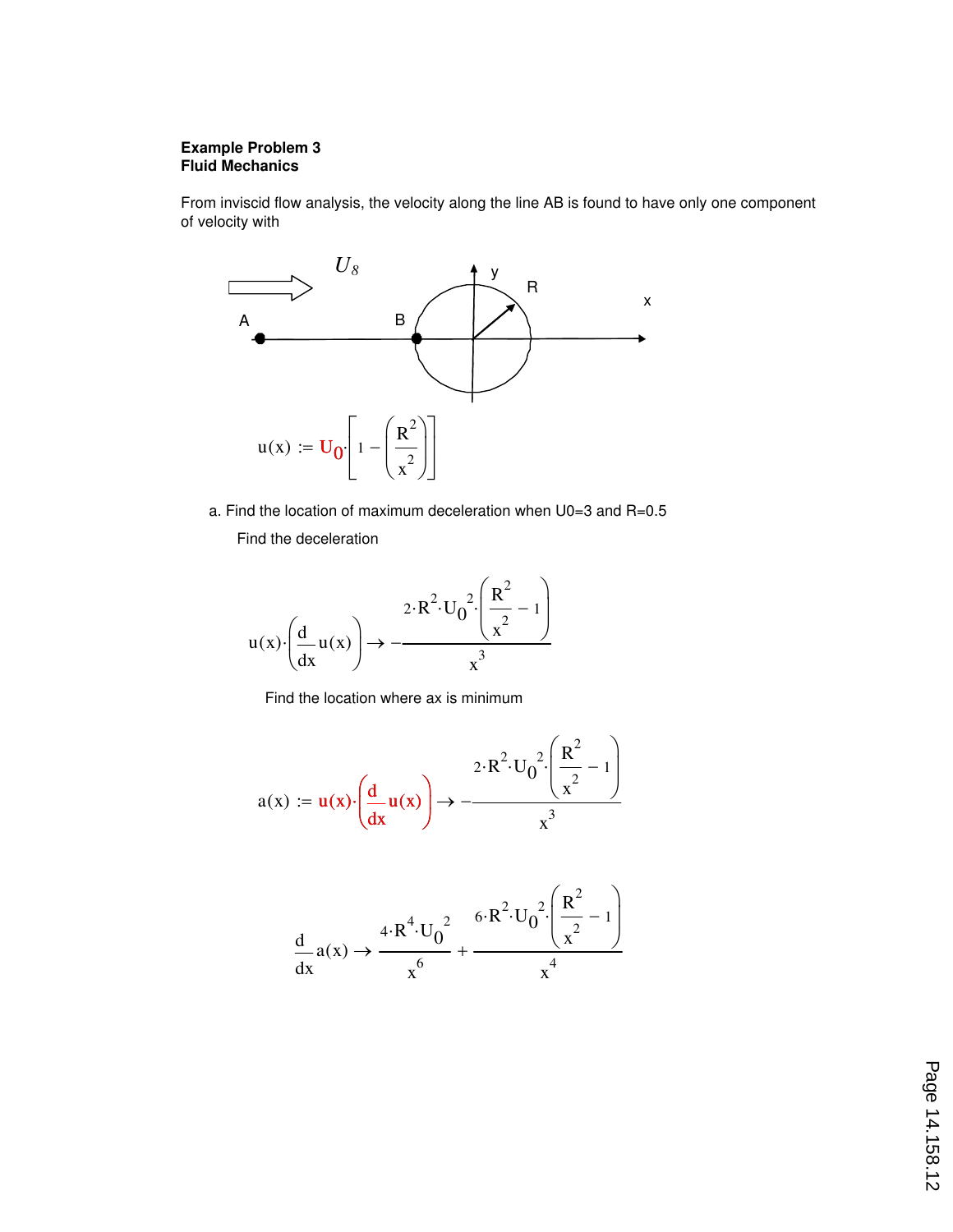### **Example Problem 3 Fluid Mechanics**

From inviscid flow analysis, the velocity along the line AB is found to have only one component of velocity with



a. Find the location of maximum deceleration when U0=3 and R=0.5 Find the deceleration

$$
u(x)\left(\frac{d}{dx}u(x)\right) \to -\frac{2\cdot R^2\cdot U_0^2\left(\frac{R^2}{x^2}-1\right)}{x^3}
$$

Find the location where ax is minimum

$$
a(x) := u(x) \cdot \left(\frac{d}{dx}u(x)\right) \rightarrow -\frac{2 \cdot R^2 \cdot U_0^2 \cdot \left(\frac{R^2}{x^2} - 1\right)}{x^3}
$$

$$
\frac{d}{dx}a(x) \to \frac{4 \cdot R^4 \cdot U_0^2}{x^6} + \frac{6 \cdot R^2 \cdot U_0^2 \cdot \left(\frac{R^2}{x^2} - 1\right)}{x^4}
$$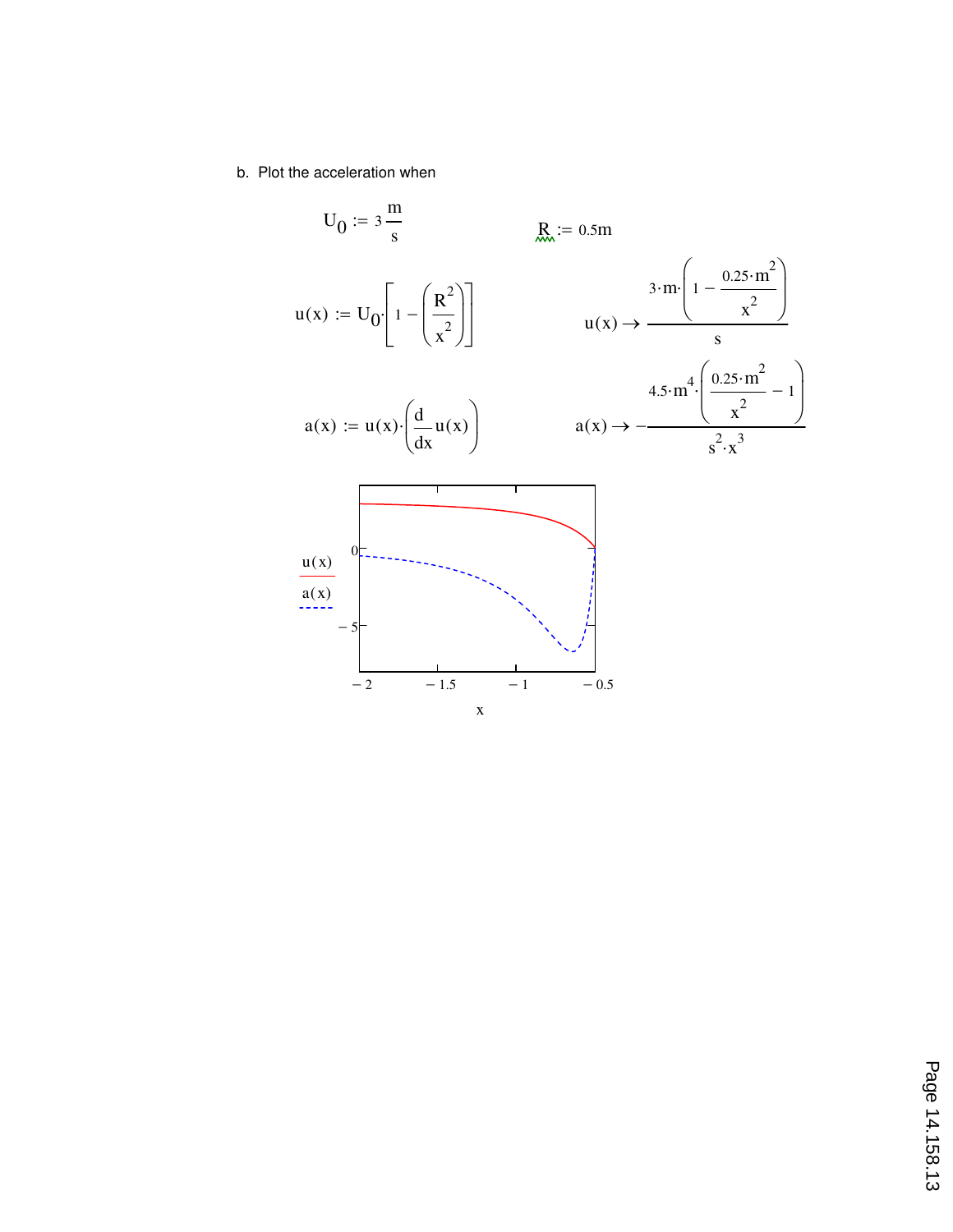b. Plot the acceleration when

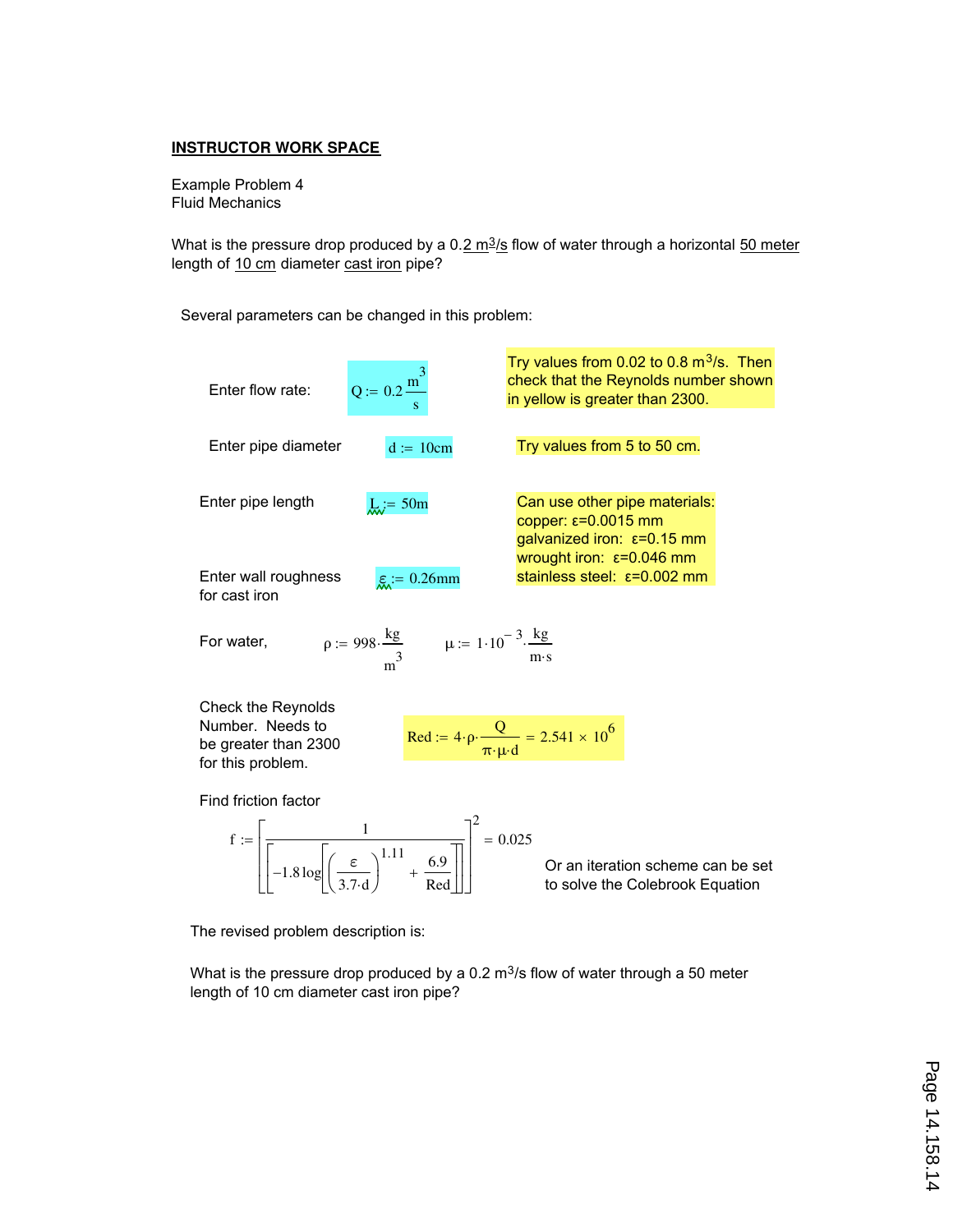#### **INSTRUCTOR WORK SPACE**

Example Problem 4 Fluid Mechanics

What is the pressure drop produced by a 0.2  $\text{m}^3$ /s flow of water through a horizontal 50 meter length of 10 cm diameter cast iron pipe?

Several parameters can be changed in this problem:



The revised problem description is:

What is the pressure drop produced by a 0.2  $m<sup>3</sup>/s$  flow of water through a 50 meter length of 10 cm diameter cast iron pipe?